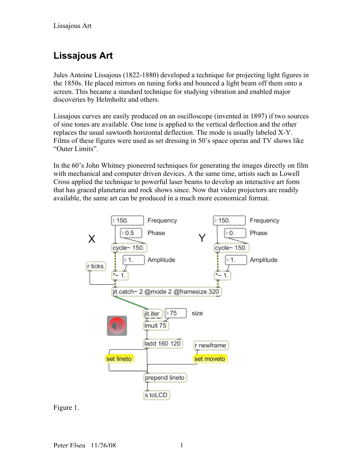## **Lissajous Art**

Jules Antoine Lissajous (1822-1880) developed a technique for projecting light figures in the 1850s. He placed mirrors on tuning forks and bounced a light beam off them onto a screen. This became a standard technique for studying vibration and enabled major discoveries by Helmholtz and others.

Lissajous curves are easily produced on an oscilloscope (invented in 1897) if two sources of sine tones are available. One tone is applied to the vertical deflection and the other replaces the usual sawtooth horizontal deflection. The mode is usually labeled X-Y. Films of these figures were used as set dressing in 50's space operas and TV shows like "Outer Limits".

In the 60's John Whitney pioneered techniques for generating the images directly on film with mechanical and computer driven devices. A the same time, artists such as Lowell Cross applied the technique to powerful laser beams to develop an interactive art form that has graced planetaria and rock shows since. Now that video projectors are readily available, the same art can be produced in a much more economical format.



Figure 1.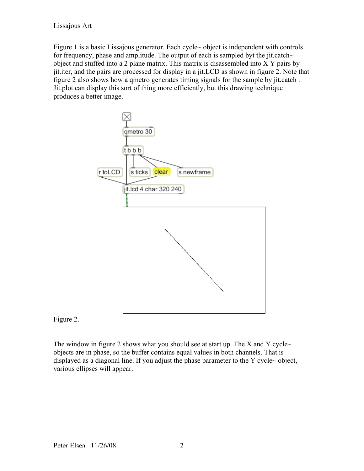Lissajous Art

Figure 1 is a basic Lissajous generator. Each cycle~ object is independent with controls for frequency, phase and amplitude. The output of each is sampled byt the jit.catch $\sim$ object and stuffed into a 2 plane matrix. This matrix is disassembled into X Y pairs by jit.iter, and the pairs are processed for display in a jit.LCD as shown in figure 2. Note that figure 2 also shows how a qmetro generates timing signals for the sample by jit.catch . Jit.plot can display this sort of thing more efficiently, but this drawing technique produces a better image.



Figure 2.

The window in figure 2 shows what you should see at start up. The X and Y cycle $\sim$ objects are in phase, so the buffer contains equal values in both channels. That is displayed as a diagonal line. If you adjust the phase parameter to the Y cycle~ object, various ellipses will appear.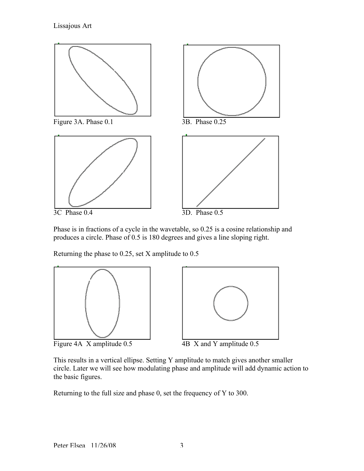

Phase is in fractions of a cycle in the wavetable, so 0.25 is a cosine relationship and produces a circle. Phase of 0.5 is 180 degrees and gives a line sloping right.

Returning the phase to 0.25, set X amplitude to 0.5



Figure 4A X amplitude 0.5 4B X and Y amplitude 0.5



This results in a vertical ellipse. Setting Y amplitude to match gives another smaller circle. Later we will see how modulating phase and amplitude will add dynamic action to the basic figures.

Returning to the full size and phase 0, set the frequency of Y to 300.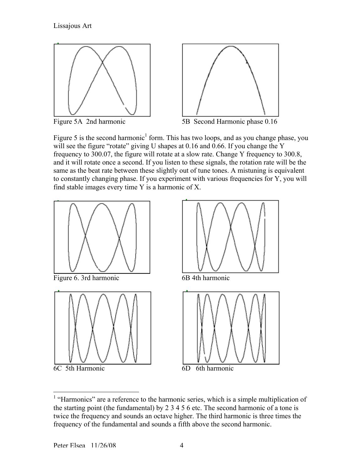



Figure 5A 2nd harmonic 5B Second Harmonic phase 0.16

Figure 5 is the second harmonic<sup>1</sup> form. This has two loops, and as you change phase, you will see the figure "rotate" giving U shapes at 0.16 and 0.66. If you change the Y frequency to 300.07, the figure will rotate at a slow rate. Change Y frequency to 300.8, and it will rotate once a second. If you listen to these signals, the rotation rate will be the same as the beat rate between these slightly out of tune tones. A mistuning is equivalent to constantly changing phase. If you experiment with various frequencies for Y, you will find stable images every time Y is a harmonic of X.



<sup>&</sup>lt;sup>1</sup> "Harmonics" are a reference to the harmonic series, which is a simple multiplication of the starting point (the fundamental) by 2 3 4 5 6 etc. The second harmonic of a tone is twice the frequency and sounds an octave higher. The third harmonic is three times the frequency of the fundamental and sounds a fifth above the second harmonic.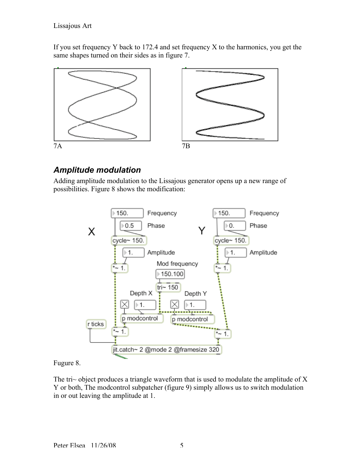## Lissajous Art

If you set frequency Y back to 172.4 and set frequency X to the harmonics, you get the same shapes turned on their sides as in figure 7.



## *Amplitude modulation*

Adding amplitude modulation to the Lissajous generator opens up a new range of possibilities. Figure 8 shows the modification:



## Fugure 8.

The tri $\sim$  object produces a triangle waveform that is used to modulate the amplitude of X Y or both, The modcontrol subpatcher (figure 9) simply allows us to switch modulation in or out leaving the amplitude at 1.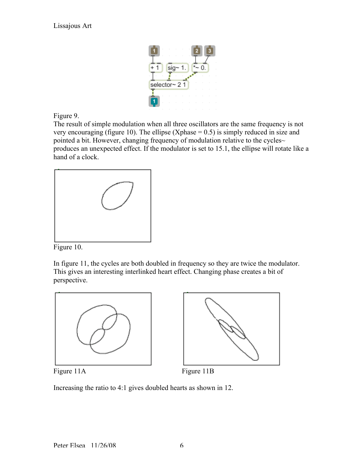

Figure 9.

The result of simple modulation when all three oscillators are the same frequency is not very encouraging (figure 10). The ellipse (Xphase  $= 0.5$ ) is simply reduced in size and pointed a bit. However, changing frequency of modulation relative to the cycles~ produces an unexpected effect. If the modulator is set to 15.1, the ellipse will rotate like a hand of a clock.



Figure 10.

In figure 11, the cycles are both doubled in frequency so they are twice the modulator. This gives an interesting interlinked heart effect. Changing phase creates a bit of perspective.





Figure 11A Figure 11B

Increasing the ratio to 4:1 gives doubled hearts as shown in 12.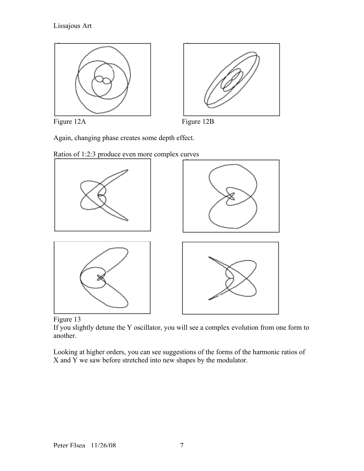





Again, changing phase creates some depth effect.







If you slightly detune the Y oscillator, you will see a complex evolution from one form to another.

Looking at higher orders, you can see suggestions of the forms of the harmonic ratios of X and Y we saw before stretched into new shapes by the modulator.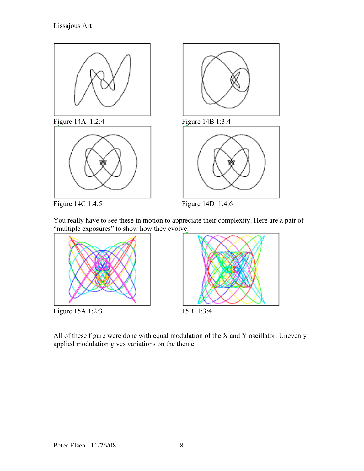

You really have to see these in motion to appreciate their complexity. Here are a pair of "multiple exposures" to show how they evolve:



All of these figure were done with equal modulation of the X and Y oscillator. Unevenly applied modulation gives variations on the theme: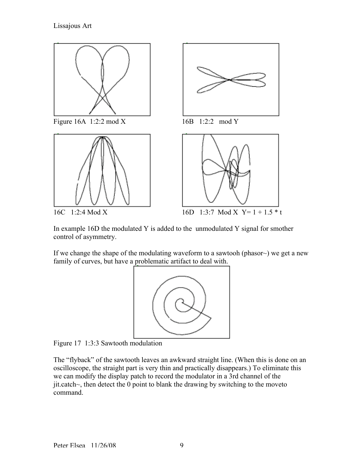

In example 16D the modulated Y is added to the unmodulated Y signal for smother control of asymmetry.

If we change the shape of the modulating waveform to a sawtooh (phasor~) we get a new family of curves, but have a problematic artifact to deal with.



Figure 17 1:3:3 Sawtooth modulation

The "flyback" of the sawtooth leaves an awkward straight line. (When this is done on an oscilloscope, the straight part is very thin and practically disappears.) To eliminate this we can modify the display patch to record the modulator in a 3rd channel of the jit.catch~, then detect the 0 point to blank the drawing by switching to the moveto command.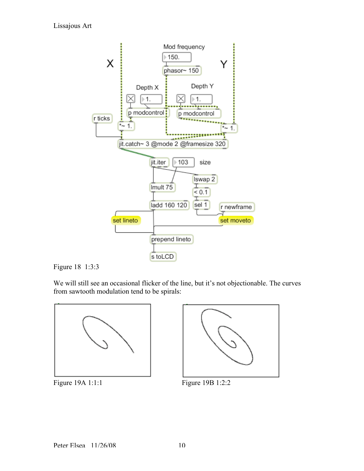



We will still see an occasional flicker of the line, but it's not objectionable. The curves from sawtooth modulation tend to be spirals:





Figure 19A 1:1:1 Figure 19B 1:2:2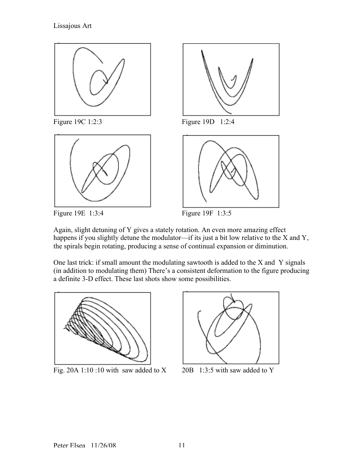



Figure 19E 1:3:4 Figure 19F 1:3:5



Figure 19C 1:2:3 Figure 19D 1:2:4

![](_page_10_Figure_7.jpeg)

![](_page_10_Figure_8.jpeg)

Again, slight detuning of Y gives a stately rotation. An even more amazing effect happens if you slightly detune the modulator—if its just a bit low relative to the X and Y, the spirals begin rotating, producing a sense of continual expansion or diminution.

One last trick: if small amount the modulating sawtooth is added to the X and Y signals (in addition to modulating them) There's a consistent deformation to the figure producing a definite 3-D effect. These last shots show some possibilities.

![](_page_10_Figure_11.jpeg)

Fig. 20A 1:10 :10 with saw added to  $X = 20B$  1:3:5 with saw added to Y

![](_page_10_Figure_13.jpeg)